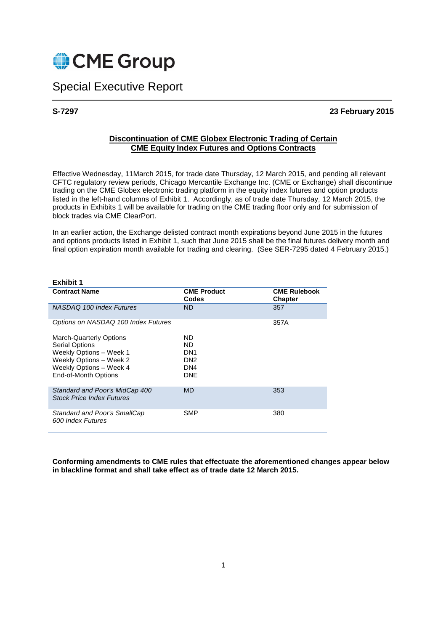

Special Executive Report

# **S-7297 23 February 2015**

# **Discontinuation of CME Globex Electronic Trading of Certain CME Equity Index Futures and Options Contracts**

Effective Wednesday, 11March 2015, for trade date Thursday, 12 March 2015, and pending all relevant CFTC regulatory review periods, Chicago Mercantile Exchange Inc. (CME or Exchange) shall discontinue trading on the CME Globex electronic trading platform in the equity index futures and option products listed in the left-hand columns of Exhibit 1. Accordingly, as of trade date Thursday, 12 March 2015, the products in Exhibits 1 will be available for trading on the CME trading floor only and for submission of block trades via CME ClearPort.

In an earlier action, the Exchange delisted contract month expirations beyond June 2015 in the futures and options products listed in Exhibit 1, such that June 2015 shall be the final futures delivery month and final option expiration month available for trading and clearing. (See SER-7295 dated 4 February 2015.)

| Exhibit 1                                                                                                                                                        |                                                                      |                                       |
|------------------------------------------------------------------------------------------------------------------------------------------------------------------|----------------------------------------------------------------------|---------------------------------------|
| <b>Contract Name</b>                                                                                                                                             | <b>CME Product</b><br>Codes                                          | <b>CME Rulebook</b><br><b>Chapter</b> |
| NASDAQ 100 Index Futures                                                                                                                                         | <b>ND</b>                                                            | 357                                   |
| Options on NASDAQ 100 Index Futures                                                                                                                              |                                                                      | 357A                                  |
| <b>March-Quarterly Options</b><br><b>Serial Options</b><br>Weekly Options - Week 1<br>Weekly Options - Week 2<br>Weekly Options - Week 4<br>End-of-Month Options | ND<br>ND.<br>DN <sub>1</sub><br>DN <sub>2</sub><br>DN4<br><b>DNE</b> |                                       |
| Standard and Poor's MidCap 400<br><b>Stock Price Index Futures</b>                                                                                               | <b>MD</b>                                                            | 353                                   |
| Standard and Poor's SmallCap<br>600 Index Futures                                                                                                                | SMP                                                                  | 380                                   |

**Conforming amendments to CME rules that effectuate the aforementioned changes appear below in blackline format and shall take effect as of trade date 12 March 2015.**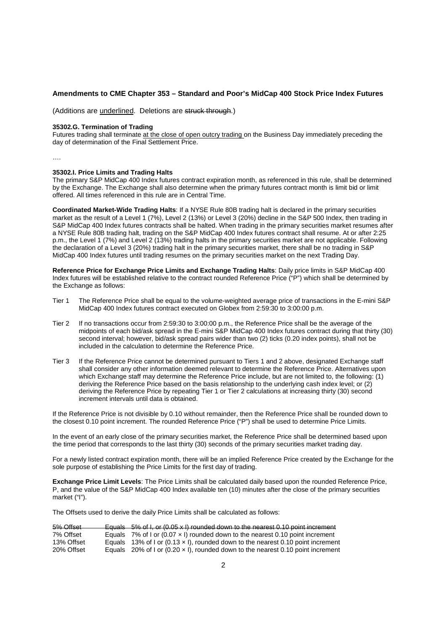### **Amendments to CME Chapter 353 – Standard and Poor's MidCap 400 Stock Price Index Futures**

(Additions are underlined. Deletions are struck through.)

#### **35302.G. Termination of Trading**

Futures trading shall terminate at the close of open outcry trading on the Business Day immediately preceding the day of determination of the Final Settlement Price.

….

#### **35302.I. Price Limits and Trading Halts**

The primary S&P MidCap 400 Index futures contract expiration month, as referenced in this rule, shall be determined by the Exchange. The Exchange shall also determine when the primary futures contract month is limit bid or limit offered. All times referenced in this rule are in Central Time.

**Coordinated Market-Wide Trading Halts**: If a NYSE Rule 80B trading halt is declared in the primary securities market as the result of a Level 1 (7%), Level 2 (13%) or Level 3 (20%) decline in the S&P 500 Index, then trading in S&P MidCap 400 Index futures contracts shall be halted. When trading in the primary securities market resumes after a NYSE Rule 80B trading halt, trading on the S&P MidCap 400 Index futures contract shall resume. At or after 2:25 p.m., the Level 1 (7%) and Level 2 (13%) trading halts in the primary securities market are not applicable. Following the declaration of a Level 3 (20%) trading halt in the primary securities market, there shall be no trading in S&P MidCap 400 Index futures until trading resumes on the primary securities market on the next Trading Day.

**Reference Price for Exchange Price Limits and Exchange Trading Halts**: Daily price limits in S&P MidCap 400 Index futures will be established relative to the contract rounded Reference Price ("P") which shall be determined by the Exchange as follows:

- Tier 1 The Reference Price shall be equal to the volume-weighted average price of transactions in the E-mini S&P MidCap 400 Index futures contract executed on Globex from 2:59:30 to 3:00:00 p.m.
- Tier 2 If no transactions occur from 2:59:30 to 3:00:00 p.m., the Reference Price shall be the average of the midpoints of each bid/ask spread in the E-mini S&P MidCap 400 Index futures contract during that thirty (30) second interval; however, bid/ask spread pairs wider than two (2) ticks (0.20 index points), shall not be included in the calculation to determine the Reference Price.
- Tier 3 If the Reference Price cannot be determined pursuant to Tiers 1 and 2 above, designated Exchange staff shall consider any other information deemed relevant to determine the Reference Price. Alternatives upon which Exchange staff may determine the Reference Price include, but are not limited to, the following: (1) deriving the Reference Price based on the basis relationship to the underlying cash index level; or (2) deriving the Reference Price by repeating Tier 1 or Tier 2 calculations at increasing thirty (30) second increment intervals until data is obtained.

If the Reference Price is not divisible by 0.10 without remainder, then the Reference Price shall be rounded down to the closest 0.10 point increment. The rounded Reference Price ("P") shall be used to determine Price Limits.

In the event of an early close of the primary securities market, the Reference Price shall be determined based upon the time period that corresponds to the last thirty (30) seconds of the primary securities market trading day.

For a newly listed contract expiration month, there will be an implied Reference Price created by the Exchange for the sole purpose of establishing the Price Limits for the first day of trading.

**Exchange Price Limit Levels**: The Price Limits shall be calculated daily based upon the rounded Reference Price, P, and the value of the S&P MidCap 400 Index available ten (10) minutes after the close of the primary securities market ("I").

The Offsets used to derive the daily Price Limits shall be calculated as follows:

| 5% Offset  | Equals $5\%$ of I, or (0.05 x I) rounded down to the nearest 0.10 point increment       |
|------------|-----------------------------------------------------------------------------------------|
| 7% Offset  | Equals 7% of I or (0.07 $\times$ I) rounded down to the nearest 0.10 point increment    |
| 13% Offset | Equals 13% of I or $(0.13 \times I)$ , rounded down to the nearest 0.10 point increment |
| 20% Offset | Equals 20% of I or (0.20 $\times$ I), rounded down to the nearest 0.10 point increment  |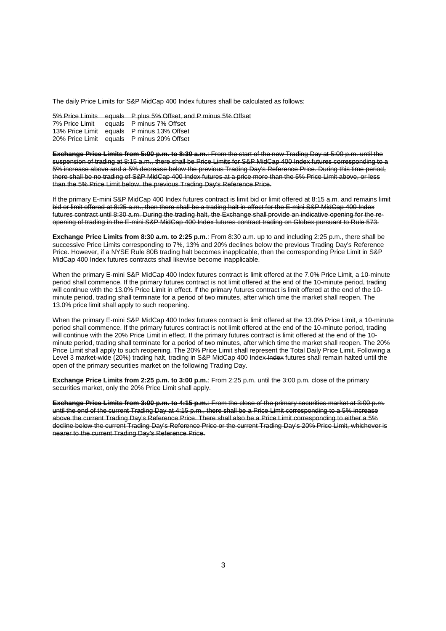The daily Price Limits for S&P MidCap 400 Index futures shall be calculated as follows:

5% Price Limits equals P plus 5% Offset, and P minus 5% Offset

| 7% Price Limit | equals P minus 7% Offset                  |
|----------------|-------------------------------------------|
|                | 13% Price Limit equals P minus 13% Offset |
|                | 20% Price Limit equals P minus 20% Offset |

**Exchange Price Limits from 5:00 p.m. to 8:30 a.m.**: From the start of the new Trading Day at 5:00 p.m. until the suspension of trading at 8:15 a.m., there shall be Price Limits for S&P MidCap 400 Index futures corresponding to a 5% increase above and a 5% decrease below the previous Trading Day's Reference Price. During this time period, there shall be no trading of S&P MidCap 400 Index futures at a price more than the 5% Price Limit above, or less than the 5% Price Limit below, the previous Trading Day's Reference Price.

If the primary E-mini S&P MidCap 400 Index futures contract is limit bid or limit offered at 8:15 a.m. and remains limit bid or limit offered at 8:25 a.m., then there shall be a trading halt in effect for the E-mini S&P MidCap 400 Index futures contract until 8:30 a.m. During the trading halt, the Exchange shall provide an indicative opening for the reopening of trading in the E-mini S&P MidCap 400 Index futures contract trading on Globex pursuant to Rule 573.

**Exchange Price Limits from 8:30 a.m. to 2:25 p.m.**: From 8:30 a.m. up to and including 2:25 p.m., there shall be successive Price Limits corresponding to 7%, 13% and 20% declines below the previous Trading Day's Reference Price. However, if a NYSE Rule 80B trading halt becomes inapplicable, then the corresponding Price Limit in S&P MidCap 400 Index futures contracts shall likewise become inapplicable.

When the primary E-mini S&P MidCap 400 Index futures contract is limit offered at the 7.0% Price Limit, a 10-minute period shall commence. If the primary futures contract is not limit offered at the end of the 10-minute period, trading will continue with the 13.0% Price Limit in effect. If the primary futures contract is limit offered at the end of the 10 minute period, trading shall terminate for a period of two minutes, after which time the market shall reopen. The 13.0% price limit shall apply to such reopening.

When the primary E-mini S&P MidCap 400 Index futures contract is limit offered at the 13.0% Price Limit, a 10-minute period shall commence. If the primary futures contract is not limit offered at the end of the 10-minute period, trading will continue with the 20% Price Limit in effect. If the primary futures contract is limit offered at the end of the 10 minute period, trading shall terminate for a period of two minutes, after which time the market shall reopen. The 20% Price Limit shall apply to such reopening. The 20% Price Limit shall represent the Total Daily Price Limit. Following a Level 3 market-wide (20%) trading halt, trading in S&P MidCap 400 Index Index futures shall remain halted until the open of the primary securities market on the following Trading Day.

**Exchange Price Limits from 2:25 p.m. to 3:00 p.m.**: From 2:25 p.m. until the 3:00 p.m. close of the primary securities market, only the 20% Price Limit shall apply.

**Exchange Price Limits from 3:00 p.m. to 4:15 p.m.**: From the close of the primary securities market at 3:00 p.m. until the end of the current Trading Day at 4:15 p.m., there shall be a Price Limit corresponding to a 5% increase above the current Trading Day's Reference Price. There shall also be a Price Limit corresponding to either a 5% decline below the current Trading Day's Reference Price or the current Trading Day's 20% Price Limit, whichever is nearer to the current Trading Day's Reference Price.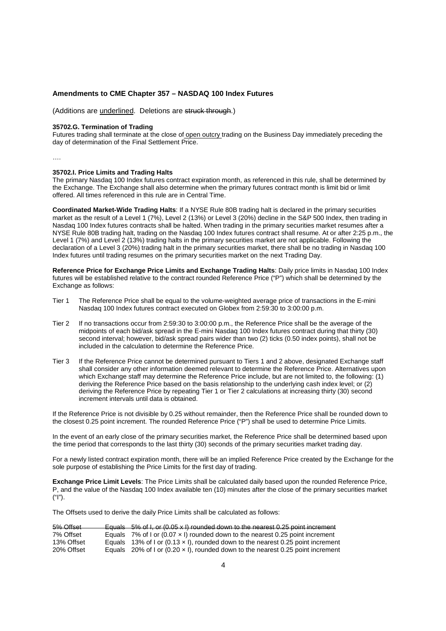### **Amendments to CME Chapter 357 – NASDAQ 100 Index Futures**

(Additions are underlined. Deletions are struck through.)

### **35702.G. Termination of Trading**

Futures trading shall terminate at the close of open outcry trading on the Business Day immediately preceding the day of determination of the Final Settlement Price.

….

#### **35702.I. Price Limits and Trading Halts**

The primary Nasdaq 100 Index futures contract expiration month, as referenced in this rule, shall be determined by the Exchange. The Exchange shall also determine when the primary futures contract month is limit bid or limit offered. All times referenced in this rule are in Central Time.

**Coordinated Market-Wide Trading Halts**: If a NYSE Rule 80B trading halt is declared in the primary securities market as the result of a Level 1 (7%), Level 2 (13%) or Level 3 (20%) decline in the S&P 500 Index, then trading in Nasdaq 100 Index futures contracts shall be halted. When trading in the primary securities market resumes after a NYSE Rule 80B trading halt, trading on the Nasdaq 100 Index futures contract shall resume. At or after 2:25 p.m., the Level 1 (7%) and Level 2 (13%) trading halts in the primary securities market are not applicable. Following the declaration of a Level 3 (20%) trading halt in the primary securities market, there shall be no trading in Nasdaq 100 Index futures until trading resumes on the primary securities market on the next Trading Day.

**Reference Price for Exchange Price Limits and Exchange Trading Halts**: Daily price limits in Nasdaq 100 Index futures will be established relative to the contract rounded Reference Price ("P") which shall be determined by the Exchange as follows:

- Tier 1 The Reference Price shall be equal to the volume-weighted average price of transactions in the E-mini Nasdaq 100 Index futures contract executed on Globex from 2:59:30 to 3:00:00 p.m.
- Tier 2 If no transactions occur from 2:59:30 to 3:00:00 p.m., the Reference Price shall be the average of the midpoints of each bid/ask spread in the E-mini Nasdaq 100 Index futures contract during that thirty (30) second interval; however, bid/ask spread pairs wider than two (2) ticks (0.50 index points), shall not be included in the calculation to determine the Reference Price.
- Tier 3 If the Reference Price cannot be determined pursuant to Tiers 1 and 2 above, designated Exchange staff shall consider any other information deemed relevant to determine the Reference Price. Alternatives upon which Exchange staff may determine the Reference Price include, but are not limited to, the following: (1) deriving the Reference Price based on the basis relationship to the underlying cash index level; or (2) deriving the Reference Price by repeating Tier 1 or Tier 2 calculations at increasing thirty (30) second increment intervals until data is obtained.

If the Reference Price is not divisible by 0.25 without remainder, then the Reference Price shall be rounded down to the closest 0.25 point increment. The rounded Reference Price ("P") shall be used to determine Price Limits.

In the event of an early close of the primary securities market, the Reference Price shall be determined based upon the time period that corresponds to the last thirty (30) seconds of the primary securities market trading day.

For a newly listed contract expiration month, there will be an implied Reference Price created by the Exchange for the sole purpose of establishing the Price Limits for the first day of trading.

**Exchange Price Limit Levels**: The Price Limits shall be calculated daily based upon the rounded Reference Price, P, and the value of the Nasdaq 100 Index available ten (10) minutes after the close of the primary securities market ("I").

The Offsets used to derive the daily Price Limits shall be calculated as follows:

| 5% Offset  | Equals $5\%$ of I, or (0.05 x I) rounded down to the nearest 0.25 point increment       |
|------------|-----------------------------------------------------------------------------------------|
| 7% Offset  | Equals 7% of I or (0.07 $\times$ I) rounded down to the nearest 0.25 point increment    |
| 13% Offset | Equals 13% of I or $(0.13 \times I)$ , rounded down to the nearest 0.25 point increment |
| 20% Offset | Equals 20% of I or (0.20 $\times$ I), rounded down to the nearest 0.25 point increment  |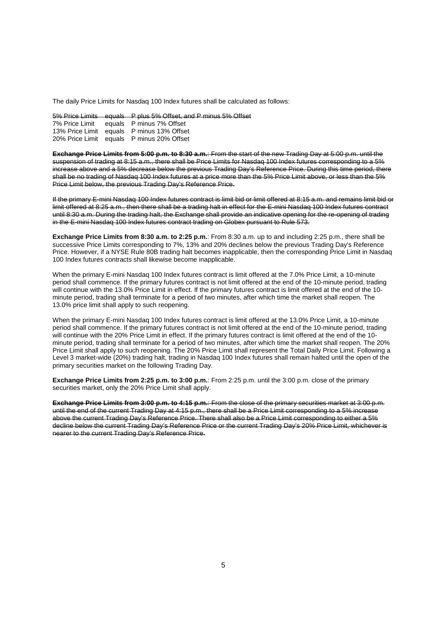The daily Price Limits for Nasdaq 100 Index futures shall be calculated as follows:

5% Price Limits equals P plus 5% Offset, and P minus 5% Offset 7% Price Limit equals P minus 7% Offset equals P minus 7% Offset

13% Price Limit equals P minus 13% Offset 20% Price Limit equals P minus 20% Offset

**Exchange Price Limits from 5:00 p.m. to 8:30 a.m.**: From the start of the new Trading Day at 5:00 p.m. until the suspension of trading at 8:15 a.m., there shall be Price Limits for Nasdaq 100 Index futures corresponding to a 5% increase above and a 5% decrease below the previous Trading Day's Reference Price. During this time period, there shall be no trading of Nasdaq 100 Index futures at a price more than the 5% Price Limit above, or less than the 5% Price Limit below, the previous Trading Day's Reference Price.

If the primary E-mini Nasdaq 100 Index futures contract is limit bid or limit offered at 8:15 a.m. and remains limit bid or limit offered at 8:25 a.m., then there shall be a trading halt in effect for the E-mini Nasdaq 100 Index futures contract until 8:30 a.m. During the trading halt, the Exchange shall provide an indicative opening for the re-opening of trading in the E-mini Nasdaq 100 Index futures contract trading on Globex pursuant to Rule 573.

**Exchange Price Limits from 8:30 a.m. to 2:25 p.m.**: From 8:30 a.m. up to and including 2:25 p.m., there shall be successive Price Limits corresponding to 7%, 13% and 20% declines below the previous Trading Day's Reference Price. However, if a NYSE Rule 80B trading halt becomes inapplicable, then the corresponding Price Limit in Nasdaq 100 Index futures contracts shall likewise become inapplicable.

When the primary E-mini Nasdaq 100 Index futures contract is limit offered at the 7.0% Price Limit, a 10-minute period shall commence. If the primary futures contract is not limit offered at the end of the 10-minute period, trading will continue with the 13.0% Price Limit in effect. If the primary futures contract is limit offered at the end of the 10 minute period, trading shall terminate for a period of two minutes, after which time the market shall reopen. The 13.0% price limit shall apply to such reopening.

When the primary E-mini Nasdaq 100 Index futures contract is limit offered at the 13.0% Price Limit, a 10-minute period shall commence. If the primary futures contract is not limit offered at the end of the 10-minute period, trading will continue with the 20% Price Limit in effect. If the primary futures contract is limit offered at the end of the 10 minute period, trading shall terminate for a period of two minutes, after which time the market shall reopen. The 20% Price Limit shall apply to such reopening. The 20% Price Limit shall represent the Total Daily Price Limit. Following a Level 3 market-wide (20%) trading halt, trading in Nasdaq 100 Index futures shall remain halted until the open of the primary securities market on the following Trading Day.

**Exchange Price Limits from 2:25 p.m. to 3:00 p.m.**: From 2:25 p.m. until the 3:00 p.m. close of the primary securities market, only the 20% Price Limit shall apply.

**Exchange Price Limits from 3:00 p.m. to 4:15 p.m.**: From the close of the primary securities market at 3:00 p.m. until the end of the current Trading Day at 4:15 p.m., there shall be a Price Limit corresponding to a 5% increase above the current Trading Day's Reference Price. There shall also be a Price Limit corresponding to either a 5% decline below the current Trading Day's Reference Price or the current Trading Day's 20% Price Limit, whichever is nearer to the current Trading Day's Reference Price.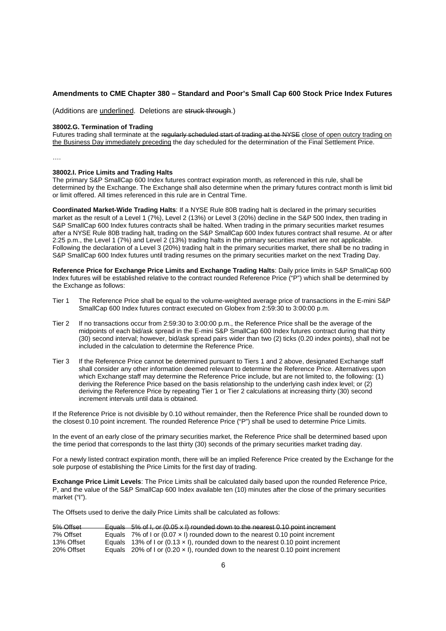### **Amendments to CME Chapter 380 – Standard and Poor's Small Cap 600 Stock Price Index Futures**

(Additions are underlined. Deletions are struck through.)

### **38002.G. Termination of Trading**

Futures trading shall terminate at the regularly scheduled start of trading at the NYSE close of open outcry trading on the Business Day immediately preceding the day scheduled for the determination of the Final Settlement Price.

….

#### **38002.I. Price Limits and Trading Halts**

The primary S&P SmallCap 600 Index futures contract expiration month, as referenced in this rule, shall be determined by the Exchange. The Exchange shall also determine when the primary futures contract month is limit bid or limit offered. All times referenced in this rule are in Central Time.

**Coordinated Market-Wide Trading Halts**: If a NYSE Rule 80B trading halt is declared in the primary securities market as the result of a Level 1 (7%), Level 2 (13%) or Level 3 (20%) decline in the S&P 500 Index, then trading in S&P SmallCap 600 Index futures contracts shall be halted. When trading in the primary securities market resumes after a NYSE Rule 80B trading halt, trading on the S&P SmallCap 600 Index futures contract shall resume. At or after 2:25 p.m., the Level 1 (7%) and Level 2 (13%) trading halts in the primary securities market are not applicable. Following the declaration of a Level 3 (20%) trading halt in the primary securities market, there shall be no trading in S&P SmallCap 600 Index futures until trading resumes on the primary securities market on the next Trading Day.

**Reference Price for Exchange Price Limits and Exchange Trading Halts**: Daily price limits in S&P SmallCap 600 Index futures will be established relative to the contract rounded Reference Price ("P") which shall be determined by the Exchange as follows:

- Tier 1 The Reference Price shall be equal to the volume-weighted average price of transactions in the E-mini S&P SmallCap 600 Index futures contract executed on Globex from 2:59:30 to 3:00:00 p.m.
- Tier 2 If no transactions occur from 2:59:30 to 3:00:00 p.m., the Reference Price shall be the average of the midpoints of each bid/ask spread in the E-mini S&P SmallCap 600 Index futures contract during that thirty (30) second interval; however, bid/ask spread pairs wider than two (2) ticks (0.20 index points), shall not be included in the calculation to determine the Reference Price.
- Tier 3 If the Reference Price cannot be determined pursuant to Tiers 1 and 2 above, designated Exchange staff shall consider any other information deemed relevant to determine the Reference Price. Alternatives upon which Exchange staff may determine the Reference Price include, but are not limited to, the following: (1) deriving the Reference Price based on the basis relationship to the underlying cash index level; or (2) deriving the Reference Price by repeating Tier 1 or Tier 2 calculations at increasing thirty (30) second increment intervals until data is obtained.

If the Reference Price is not divisible by 0.10 without remainder, then the Reference Price shall be rounded down to the closest 0.10 point increment. The rounded Reference Price ("P") shall be used to determine Price Limits.

In the event of an early close of the primary securities market, the Reference Price shall be determined based upon the time period that corresponds to the last thirty (30) seconds of the primary securities market trading day.

For a newly listed contract expiration month, there will be an implied Reference Price created by the Exchange for the sole purpose of establishing the Price Limits for the first day of trading.

**Exchange Price Limit Levels**: The Price Limits shall be calculated daily based upon the rounded Reference Price, P, and the value of the S&P SmallCap 600 Index available ten (10) minutes after the close of the primary securities market ("I").

The Offsets used to derive the daily Price Limits shall be calculated as follows:

| 5% Offset  | Equals $5\%$ of I, or (0.05 x I) rounded down to the nearest 0.10 point increment       |
|------------|-----------------------------------------------------------------------------------------|
| 7% Offset  | Equals 7% of I or (0.07 $\times$ I) rounded down to the nearest 0.10 point increment    |
| 13% Offset | Equals 13% of I or $(0.13 \times I)$ , rounded down to the nearest 0.10 point increment |
| 20% Offset | Equals 20% of I or (0.20 $\times$ I), rounded down to the nearest 0.10 point increment  |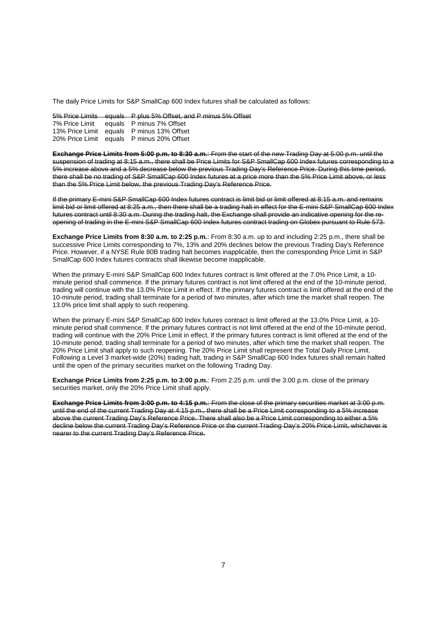The daily Price Limits for S&P SmallCap 600 Index futures shall be calculated as follows:

5% Price Limits equals P plus 5% Offset, and P minus 5% Offset 7% Price Limit equals P minus 7% Offset

equals P minus 7% Offset 13% Price Limit equals P minus 13% Offset 20% Price Limit equals P minus 20% Offset

**Exchange Price Limits from 5:00 p.m. to 8:30 a.m.**: From the start of the new Trading Day at 5:00 p.m. until the suspension of trading at 8:15 a.m., there shall be Price Limits for S&P SmallCap 600 Index futures corresponding to a 5% increase above and a 5% decrease below the previous Trading Day's Reference Price. During this time period, there shall be no trading of S&P SmallCap 600 Index futures at a price more than the 5% Price Limit above, or less than the 5% Price Limit below, the previous Trading Day's Reference Price.

If the primary E-mini S&P SmallCap 600 Index futures contract is limit bid or limit offered at 8:15 a.m. and remains limit bid or limit offered at 8:25 a.m., then there shall be a trading halt in effect for the E-mini S&P SmallCap 600 Index futures contract until 8:30 a.m. During the trading halt, the Exchange shall provide an indicative opening for the reopening of trading in the E-mini S&P SmallCap 600 Index futures contract trading on Globex pursuant to Rule 573.

**Exchange Price Limits from 8:30 a.m. to 2:25 p.m.**: From 8:30 a.m. up to and including 2:25 p.m., there shall be successive Price Limits corresponding to 7%, 13% and 20% declines below the previous Trading Day's Reference Price. However, if a NYSE Rule 80B trading halt becomes inapplicable, then the corresponding Price Limit in S&P SmallCap 600 Index futures contracts shall likewise become inapplicable.

When the primary E-mini S&P SmallCap 600 Index futures contract is limit offered at the 7.0% Price Limit, a 10minute period shall commence. If the primary futures contract is not limit offered at the end of the 10-minute period, trading will continue with the 13.0% Price Limit in effect. If the primary futures contract is limit offered at the end of the 10-minute period, trading shall terminate for a period of two minutes, after which time the market shall reopen. The 13.0% price limit shall apply to such reopening.

When the primary E-mini S&P SmallCap 600 Index futures contract is limit offered at the 13.0% Price Limit, a 10minute period shall commence. If the primary futures contract is not limit offered at the end of the 10-minute period, trading will continue with the 20% Price Limit in effect. If the primary futures contract is limit offered at the end of the 10-minute period, trading shall terminate for a period of two minutes, after which time the market shall reopen. The 20% Price Limit shall apply to such reopening. The 20% Price Limit shall represent the Total Daily Price Limit. Following a Level 3 market-wide (20%) trading halt, trading in S&P SmallCap 600 Index futures shall remain halted until the open of the primary securities market on the following Trading Day.

**Exchange Price Limits from 2:25 p.m. to 3:00 p.m.**: From 2:25 p.m. until the 3:00 p.m. close of the primary securities market, only the 20% Price Limit shall apply.

**Exchange Price Limits from 3:00 p.m. to 4:15 p.m.**: From the close of the primary securities market at 3:00 p.m. until the end of the current Trading Day at 4:15 p.m., there shall be a Price Limit corresponding to a 5% increase above the current Trading Day's Reference Price. There shall also be a Price Limit corresponding to either a 5% decline below the current Trading Day's Reference Price or the current Trading Day's 20% Price Limit, whichever is nearer to the current Trading Day's Reference Price.